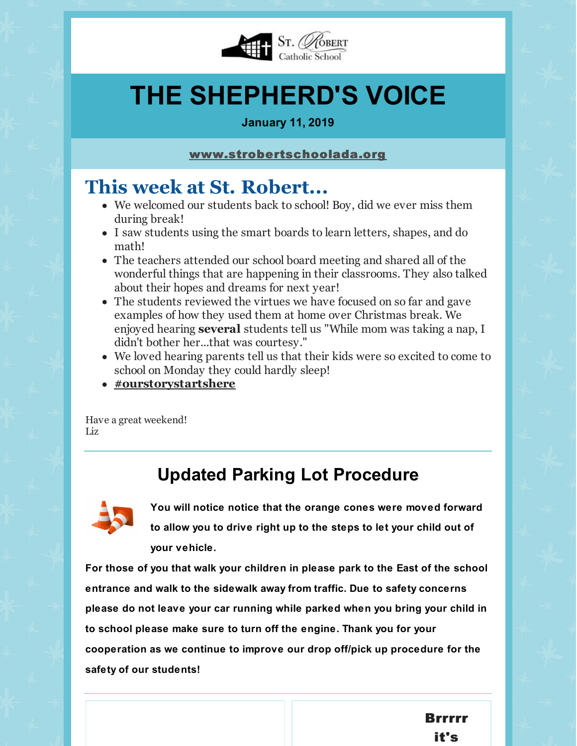

# **THE SHEPHERD'S VOICE**

#### **January 11, 2019**

#### [www.strobertschoolada.org](http://strobertschoolada.org)

# **This week at St. Robert...**

- We welcomed our students back to school! Boy, did we ever miss them during break!
- I saw students using the smart boards to learn letters, shapes, and do math!
- The teachers attended our school board meeting and shared all of the wonderful things that are happening in their classrooms. They also talked about their hopes and dreams for next year!
- The students reviewed the virtues we have focused on so far and gave examples of how they used them at home over Christmas break. We enjoyed hearing **several** students tell us "While mom was taking a nap, I didn't bother her...that was courtesy."
- We loved hearing parents tell us that their kids were so excited to come to school on Monday they could hardly sleep!
- **[#ourstorystartshere](https://twitter.com/strobertada)**

Have a great weekend! Liz

## **Updated Parking Lot Procedure**



**You will notice notice that the orange cones were moved forward to allow you to drive right up to the steps to let your child out of your vehicle.**

**For those of you that walk your children in please park to the East of the school entrance and walk to the sidewalk away from traffic. Due to safety concerns please do not leave your car running while parked when you bring your child in to school please make sure to turn off the engine. Thank you for your cooperation as we continue to improve our drop off/pick up procedure for the safety of our students!**

> Brrrrr it's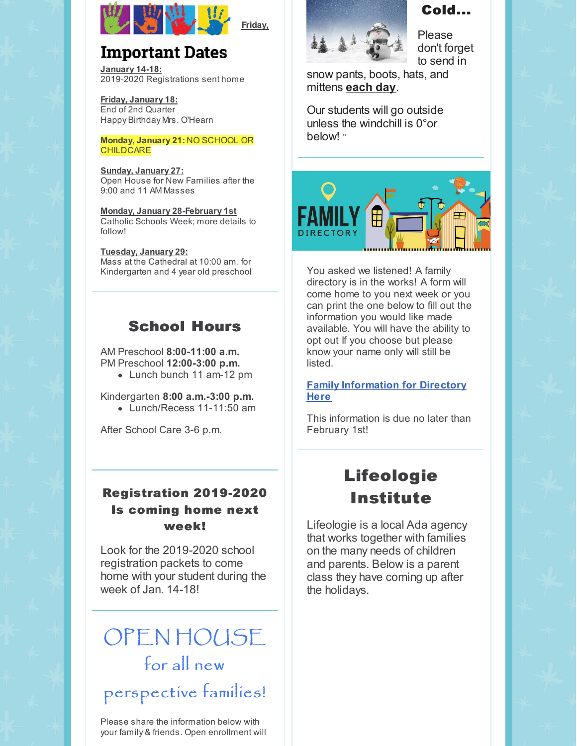

**Friday,**

## **Important Dates**

**January 14-18:** 2019-2020 Registrations sent home

**Friday, January 18:** End of 2nd Quarter Happy Birthday Mrs. O'Hearn

#### **Monday, January 21:** NO SCHOOL OR **CHILDCARE**

**Sunday, January 27:** Open House for New Families after the 9:00 and 11 AM Masses

**Monday, January 28-February 1st** Catholic Schools Week; more details to follow!

**Tuesday, January 29:** Mass at the Cathedral at 10:00 am. for Kindergarten and 4 year old preschool

### School Hours

AM Preschool **8:00-11:00 a.m.** PM Preschool **12:00-3:00 p.m.**

• Lunch bunch 11 am-12 pm

Kindergarten **8:00 a.m.-3:00 p.m.**

• Lunch/Recess 11-11:50 am

After School Care 3-6 p.m.

#### Registration 2019-2020 Is coming home next week!

Look for the 2019-2020 school registration packets to come home with your student during the week of Jan. 14-18!

# OPEN HOUSE for all new

# perspective families!

Please share the information below with your family & friends. Open enrollment will



### Cold...

Please don't forget to send in

snow pants, boots, hats, and mittens **each day**.

Our students will go outside unless the windchill is 0°or below! "



You asked we listened! A family directory is in the works! A form will come home to you next week or you can print the one below to fill out the information you would like made available. You will have the ability to opt out If you choose but please know your name only will still be listed.

#### **Family [Information](https://files.constantcontact.com/d6018a1b201/f0e30397-39c7-4272-a5f4-6f1daa9f1442.docx) for Directory Here**

This information is due no later than February 1st!

# Lifeologie Institute

Lifeologie is a local Ada agency that works together with families on the many needs of children and parents. Below is a parent class they have coming up after the holidays.